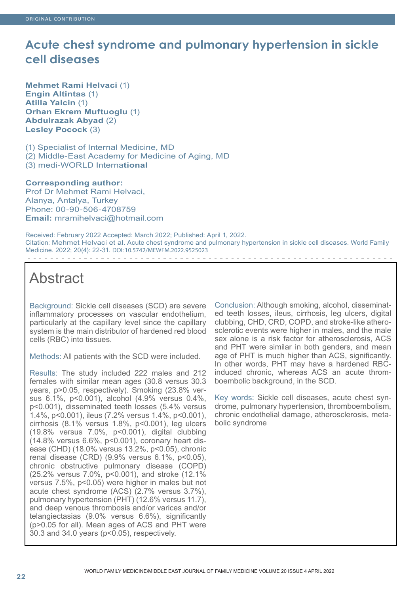# **Acute chest syndrome and pulmonary hypertension in sickle cell diseases**

**Mehmet Rami Helvaci** (1) **Engin Altintas** (1) **Atilla Yalcin** (1) **Orhan Ekrem Muftuoglu** (1) **Abdulrazak Abyad** (2) **Lesley Pocock** (3)

(1) Specialist of Internal Medicine, MD (2) Middle-East Academy for Medicine of Aging, MD (3) medi-WORLD Interna**tional**

## **Corresponding author:**

Prof Dr Mehmet Rami Helvaci, Alanya, Antalya, Turkey Phone: 00-90-506-4708759 **Email:** mramihelvaci@hotmail.com

Received: February 2022 Accepted: March 2022; Published: April 1, 2022. Citation: Mehmet Helvaci et al. Acute chest syndrome and pulmonary hypertension in sickle cell diseases. World Family Medicine. 2022; 20(4): 22-31. DOI: 10.5742/MEWFM.2022.9525023 

# Abstract

Background: Sickle cell diseases (SCD) are severe inflammatory processes on vascular endothelium, particularly at the capillary level since the capillary system is the main distributor of hardened red blood cells (RBC) into tissues.

Methods: All patients with the SCD were included.

Results: The study included 222 males and 212 females with similar mean ages (30.8 versus 30.3 years, p>0.05, respectively). Smoking (23.8% versus 6.1%, p<0.001), alcohol (4.9% versus 0.4%, p<0.001), disseminated teeth losses (5.4% versus 1.4%, p<0.001), ileus (7.2% versus 1.4%, p<0.001), cirrhosis (8.1% versus 1.8%, p<0.001), leg ulcers (19.8% versus 7.0%, p<0.001), digital clubbing (14.8% versus 6.6%, p<0.001), coronary heart disease (CHD) (18.0% versus 13.2%, p<0.05), chronic renal disease (CRD) (9.9% versus 6.1%, p<0.05), chronic obstructive pulmonary disease (COPD) (25.2% versus 7.0%, p<0.001), and stroke (12.1% versus 7.5%, p<0.05) were higher in males but not acute chest syndrome (ACS) (2.7% versus 3.7%), pulmonary hypertension (PHT) (12.6% versus 11.7), and deep venous thrombosis and/or varices and/or telangiectasias (9.0% versus 6.6%), significantly (p>0.05 for all). Mean ages of ACS and PHT were 30.3 and 34.0 years (p<0.05), respectively.

Conclusion: Although smoking, alcohol, disseminated teeth losses, ileus, cirrhosis, leg ulcers, digital clubbing, CHD, CRD, COPD, and stroke-like atherosclerotic events were higher in males, and the male sex alone is a risk factor for atherosclerosis, ACS and PHT were similar in both genders, and mean age of PHT is much higher than ACS, significantly. In other words, PHT may have a hardened RBCinduced chronic, whereas ACS an acute thromboembolic background, in the SCD.

Key words: Sickle cell diseases, acute chest syndrome, pulmonary hypertension, thromboembolism, chronic endothelial damage, atherosclerosis, metabolic syndrome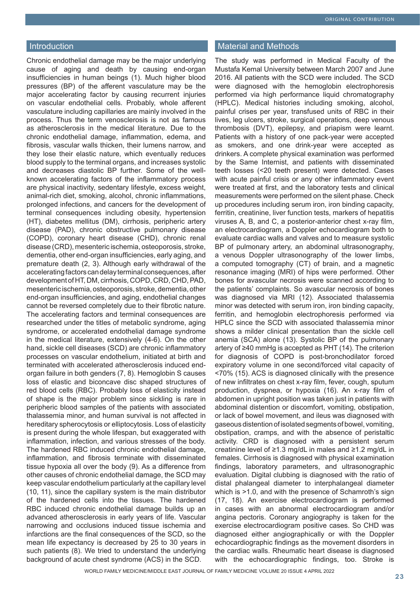### Introduction

Chronic endothelial damage may be the major underlying cause of aging and death by causing end-organ insufficiencies in human beings (1). Much higher blood pressures (BP) of the afferent vasculature may be the major accelerating factor by causing recurrent injuries on vascular endothelial cells. Probably, whole afferent vasculature including capillaries are mainly involved in the process. Thus the term venosclerosis is not as famous as atherosclerosis in the medical literature. Due to the chronic endothelial damage, inflammation, edema, and fibrosis, vascular walls thicken, their lumens narrow, and they lose their elastic nature, which eventually reduces blood supply to the terminal organs, and increases systolic and decreases diastolic BP further. Some of the wellknown accelerating factors of the inflammatory process are physical inactivity, sedentary lifestyle, excess weight, animal-rich diet, smoking, alcohol, chronic inflammations, prolonged infections, and cancers for the development of terminal consequences including obesity, hypertension (HT), diabetes mellitus (DM), cirrhosis, peripheric artery disease (PAD), chronic obstructive pulmonary disease (COPD), coronary heart disease (CHD), chronic renal disease (CRD), mesenteric ischemia, osteoporosis, stroke, dementia, other end-organ insufficiencies, early aging, and premature death (2, 3). Although early withdrawal of the accelerating factors can delay terminal consequences, after development of HT, DM, cirrhosis, COPD, CRD, CHD, PAD, mesenteric ischemia, osteoporosis, stroke, dementia, other end-organ insufficiencies, and aging, endothelial changes cannot be reversed completely due to their fibrotic nature. The accelerating factors and terminal consequences are researched under the titles of metabolic syndrome, aging syndrome, or accelerated endothelial damage syndrome in the medical literature, extensively (4-6). On the other hand, sickle cell diseases (SCD) are chronic inflammatory processes on vascular endothelium, initiated at birth and terminated with accelerated atherosclerosis induced endorgan failure in both genders (7, 8). Hemoglobin S causes loss of elastic and biconcave disc shaped structures of red blood cells (RBC). Probably loss of elasticity instead of shape is the major problem since sickling is rare in peripheric blood samples of the patients with associated thalassemia minor, and human survival is not affected in hereditary spherocytosis or elliptocytosis. Loss of elasticity is present during the whole lifespan, but exaggerated with inflammation, infection, and various stresses of the body. The hardened RBC induced chronic endothelial damage, inflammation, and fibrosis terminate with disseminated tissue hypoxia all over the body (9). As a difference from other causes of chronic endothelial damage, the SCD may keep vascular endothelium particularly at the capillary level (10, 11), since the capillary system is the main distributor of the hardened cells into the tissues. The hardened RBC induced chronic endothelial damage builds up an advanced atherosclerosis in early years of life. Vascular narrowing and occlusions induced tissue ischemia and infarctions are the final consequences of the SCD, so the mean life expectancy is decreased by 25 to 30 years in such patients (8). We tried to understand the underlying background of acute chest syndrome (ACS) in the SCD.

#### Material and Methods

The study was performed in Medical Faculty of the Mustafa Kemal University between March 2007 and June 2016. All patients with the SCD were included. The SCD were diagnosed with the hemoglobin electrophoresis performed via high performance liquid chromatography (HPLC). Medical histories including smoking, alcohol, painful crises per year, transfused units of RBC in their lives, leg ulcers, stroke, surgical operations, deep venous thrombosis (DVT), epilepsy, and priapism were learnt. Patients with a history of one pack-year were accepted as smokers, and one drink-year were accepted as drinkers. A complete physical examination was performed by the Same Internist, and patients with disseminated teeth losses (<20 teeth present) were detected. Cases with acute painful crisis or any other inflammatory event were treated at first, and the laboratory tests and clinical measurements were performed on the silent phase. Check up procedures including serum iron, iron binding capacity, ferritin, creatinine, liver function tests, markers of hepatitis viruses A, B, and C, a posterior-anterior chest x-ray film, an electrocardiogram, a Doppler echocardiogram both to evaluate cardiac walls and valves and to measure systolic BP of pulmonary artery, an abdominal ultrasonography, a venous Doppler ultrasonography of the lower limbs, a computed tomography (CT) of brain, and a magnetic resonance imaging (MRI) of hips were performed. Other bones for avascular necrosis were scanned according to the patients' complaints. So avascular necrosis of bones was diagnosed via MRI (12). Associated thalassemia minor was detected with serum iron, iron binding capacity, ferritin, and hemoglobin electrophoresis performed via HPLC since the SCD with associated thalassemia minor shows a milder clinical presentation than the sickle cell anemia (SCA) alone (13). Systolic BP of the pulmonary artery of ≥40 mmHg is accepted as PHT (14). The criterion for diagnosis of COPD is post-bronchodilator forced expiratory volume in one second/forced vital capacity of <70% (15). ACS is diagnosed clinically with the presence of new infiltrates on chest x-ray film, fever, cough, sputum production, dyspnea, or hypoxia (16). An x-ray film of abdomen in upright position was taken just in patients with abdominal distention or discomfort, vomiting, obstipation, or lack of bowel movement, and ileus was diagnosed with gaseous distention of isolated segments of bowel, vomiting, obstipation, cramps, and with the absence of peristaltic activity. CRD is diagnosed with a persistent serum creatinine level of ≥1.3 mg/dL in males and ≥1.2 mg/dL in females. Cirrhosis is diagnosed with physical examination findings, laboratory parameters, and ultrasonographic evaluation. Digital clubbing is diagnosed with the ratio of distal phalangeal diameter to interphalangeal diameter which is  $>1.0$ , and with the presence of Schamroth's sign (17, 18). An exercise electrocardiogram is performed in cases with an abnormal electrocardiogram and/or angina pectoris. Coronary angiography is taken for the exercise electrocardiogram positive cases. So CHD was diagnosed either angiographically or with the Doppler echocardiographic findings as the movement disorders in the cardiac walls. Rheumatic heart disease is diagnosed with the echocardiographic findings, too. Stroke is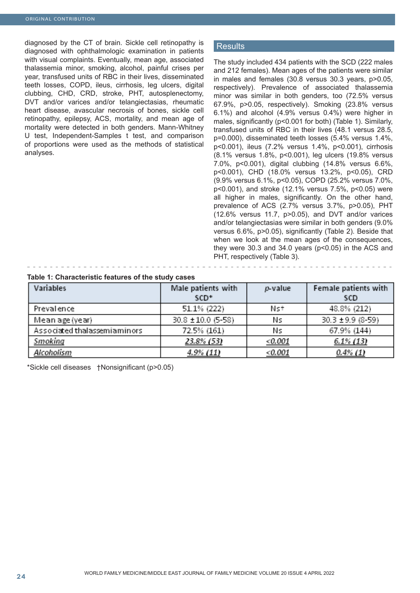diagnosed by the CT of brain. Sickle cell retinopathy is diagnosed with ophthalmologic examination in patients with visual complaints. Eventually, mean age, associated thalassemia minor, smoking, alcohol, painful crises per year, transfused units of RBC in their lives, disseminated teeth losses, COPD, ileus, cirrhosis, leg ulcers, digital clubbing, CHD, CRD, stroke, PHT, autosplenectomy, DVT and/or varices and/or telangiectasias, rheumatic heart disease, avascular necrosis of bones, sickle cell retinopathy, epilepsy, ACS, mortality, and mean age of mortality were detected in both genders. Mann-Whitney U test, Independent-Samples t test, and comparison of proportions were used as the methods of statistical analyses.

#### **Results**

The study included 434 patients with the SCD (222 males and 212 females). Mean ages of the patients were similar in males and females (30.8 versus 30.3 years, p>0.05, respectively). Prevalence of associated thalassemia minor was similar in both genders, too (72.5% versus 67.9%, p>0.05, respectively). Smoking (23.8% versus 6.1%) and alcohol (4.9% versus 0.4%) were higher in males, significantly (p<0.001 for both) (Table 1). Similarly, transfused units of RBC in their lives (48.1 versus 28.5, p=0.000), disseminated teeth losses (5.4% versus 1.4%, p<0.001), ileus (7.2% versus 1.4%, p<0.001), cirrhosis (8.1% versus 1.8%, p<0.001), leg ulcers (19.8% versus 7.0%, p<0.001), digital clubbing (14.8% versus 6.6%, p<0.001), CHD (18.0% versus 13.2%, p<0.05), CRD (9.9% versus 6.1%, p<0.05), COPD (25.2% versus 7.0%, p<0.001), and stroke (12.1% versus 7.5%, p<0.05) were all higher in males, significantly. On the other hand, prevalence of ACS (2.7% versus 3.7%, p>0.05), PHT (12.6% versus 11.7, p>0.05), and DVT and/or varices and/or telangiectasias were similar in both genders (9.0% versus 6.6%, p>0.05), significantly (Table 2). Beside that when we look at the mean ages of the consequences, they were 30.3 and 34.0 years (p<0.05) in the ACS and PHT, respectively (Table 3).

#### **Table 1: Characteristic features of the study cases**

| Variables                    | Male patients with<br>SCD <sup>+</sup> | $p$ -value | Female patients with<br><b>SCD</b> |
|------------------------------|----------------------------------------|------------|------------------------------------|
| Prevalence                   | 51.1% (222)                            | Nst        | 48.8% (212)                        |
| Mean age (year)              | 30.8 ±10.0 (5-58)                      | Ns         | 30.3 ± 9.9 (8-59)                  |
| Associated thalassemiaminors | 72.5% (161)                            | Ns         | 67.9% (144)                        |
| Smoking                      | 23.8% (53)                             | < 0.001    | $6.1\%$ (13)                       |
| Alcoholism                   | 4.9% (11)                              | < 0.001    | $0.4\%$ (1)                        |

\*Sickle cell diseases †Nonsignificant (p>0.05)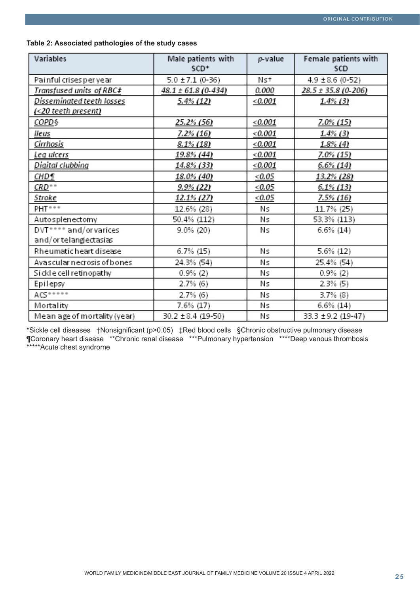| Table 2: Associated pathologies of the study cases |  |  |  |
|----------------------------------------------------|--|--|--|
|----------------------------------------------------|--|--|--|

| Variables                    | Male patients with<br>SCD <sup>+</sup> | $p$ -value | Female patients with<br>SCD |
|------------------------------|----------------------------------------|------------|-----------------------------|
| Painful crises per year      | $5.0 \pm 7.1$ (0-36)                   | Nst        | $4.9 \pm 8.6$ (0-52)        |
| Transfused units of RBC‡     | 48.1 ± 61.8 (0-434)                    | 0.000      | 28.5 ± 35.8 (0-206)         |
| Disseminated teeth losses    | 5.4% (12)                              | < 0.001    | $1.4\%$ (3)                 |
| (<20 teeth present)          |                                        |            |                             |
| <u>COPD§</u>                 | <u>25.2% (56)</u>                      | < 0.001    | 7.0% (15)                   |
| lleus                        | <u>7.2% (16)</u>                       | <0.001     | <u>1.4% (3)</u>             |
| Cirrhosis                    | 8.1% (18)                              | < 0.001    | $1.8\%$ (4)                 |
| Leg ulcers                   | <u>19.8% (44)</u>                      | < 0.001    | 7.0% (15)                   |
| Digital clubbing             | <u>14.8% (33)</u>                      | < 0.001    | $6.6\%$ (14)                |
| CHD¶                         | <u>18.0% (40)</u>                      | < 0.05     | <u>13.2% (28)</u>           |
| $CRD^{\circ}$                | <u>9.9% (22)</u>                       | < 0.05     | $6.1\%$ (13)                |
| <u>Stroke</u>                | <u>12.1% (27)</u>                      | < 0.05     | <u>7.5% (16)</u>            |
| PHT***                       | 12.6% (28)                             | Ns         | 11.7% (25)                  |
| Autosplenectomy              | 50.4% (112)                            | Ns         | 53.3% (113)                 |
| DVT**** and/or varices       | 9.0% (20)                              | Ns         | $6.6\%$ (14)                |
| and/or telangiectasias       |                                        |            |                             |
| Rheumatic heart disease      | 6.7% (15)                              | Ns         | 5.6% (12)                   |
| Avascular necrosis of bones  | 24.3% (54)                             | Ns         | 25.4% (54)                  |
| Sickle cell retinopathy      | 0.9%(2)                                | Ns         | $0.9%$ (2)                  |
| Epilepsy                     | $2.7\%$ (6)                            | Ns         | $2.3\%$ (5)                 |
| ACS                          | $2.7\%$ (6)                            | Ns         | $3.7\%$ (8)                 |
| Mortality                    | 7.6% (17)                              | Ns         | 6.6% (14)                   |
| Mean age of mortality (year) | 30.2 ± 8.4 (19-50)                     | Ns         | 33.3 ± 9.2 (19-47)          |

\*Sickle cell diseases †Nonsignificant (p>0.05) ‡Red blood cells §Chronic obstructive pulmonary disease ¶Coronary heart disease \*\*Chronic renal disease \*\*\*Pulmonary hypertension \*\*\*\*Deep venous thrombosis \*\*\*\*\*Acute chest syndrome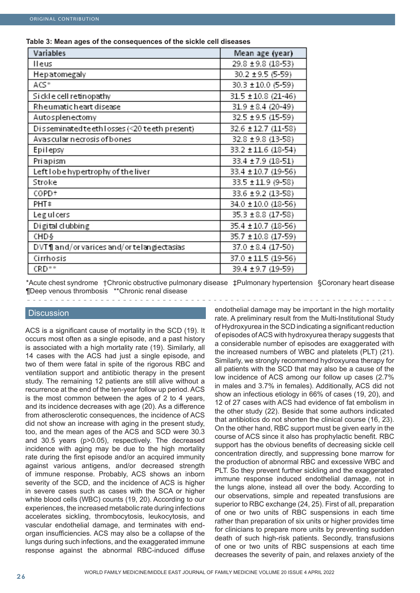| Variables                                     | Mean age (year)        |
|-----------------------------------------------|------------------------|
| lleus                                         | 29.8 ± 9.8 (18-53)     |
| Hepatomegaly                                  | 30.2 ± 9.5 (5-59)      |
| ACS*                                          | 30.3 ± 10.0 (5-59)     |
| Sickle cell retinopathy                       | 31.5 ± 10.8 (21-46)    |
| Rheumatic heart disease                       | $31.9 \pm 8.4$ (20-49) |
| Autosplenectomy                               | 32.5 ± 9.5 (15-59)     |
| Disseminated teeth losses (<20 teeth present) | 32.6 ± 12.7 (11-58)    |
| Avascular necrosis of bones                   | 32.8 ± 9.8 (13-58)     |
| Epilepsy                                      | 33.2 ± 11.6 (18-54)    |
| Priapism                                      | 33.4 ± 7.9 (18-51)     |
| Left lobe hypertrophy of the liver            | 33.4 ± 10.7 (19-56)    |
| Stroke                                        | 33.5 ± 11.9 (9-58)     |
| COPD+                                         | 33.6 ± 9.2 (13-58)     |
| PHT‡                                          | 34.0 ± 10.0 (18-56)    |
| Leg ul cers                                   | 35.3 ± 8.8 (17-58)     |
| Digital clubbing                              | 35.4 ± 10.7 (18-56)    |
| CHD §                                         | 35.7 ± 10.8 (17-59)    |
| DVT¶ and/or varices and/or telangiectasias    | 37.0 ± 8.4 (17-50)     |
| Cirrhosis                                     | 37.0 ± 11.5 (19-56)    |
| CRD <sup>**</sup>                             | 39.4 ± 9.7 (19-59)     |

**Table 3: Mean ages of the consequences of the sickle cell diseases**

\*Acute chest syndrome †Chronic obstructive pulmonary disease ‡Pulmonary hypertension §Coronary heart disease ¶Deep venous thrombosis \*\*Chronic renal disease

### **Discussion**

ACS is a significant cause of mortality in the SCD (19). It occurs most often as a single episode, and a past history is associated with a high mortality rate (19). Similarly, all 14 cases with the ACS had just a single episode, and two of them were fatal in spite of the rigorous RBC and ventilation support and antibiotic therapy in the present study. The remaining 12 patients are still alive without a recurrence at the end of the ten-year follow up period. ACS is the most common between the ages of 2 to 4 years, and its incidence decreases with age (20). As a difference from atherosclerotic consequences, the incidence of ACS did not show an increase with aging in the present study, too, and the mean ages of the ACS and SCD were 30.3 and 30.5 years (p>0.05), respectively. The decreased incidence with aging may be due to the high mortality rate during the first episode and/or an acquired immunity against various antigens, and/or decreased strength of immune response. Probably, ACS shows an inborn severity of the SCD, and the incidence of ACS is higher in severe cases such as cases with the SCA or higher white blood cells (WBC) counts (19, 20). According to our experiences, the increased metabolic rate during infections accelerates sickling, thrombocytosis, leukocytosis, and vascular endothelial damage, and terminates with endorgan insufficiencies. ACS may also be a collapse of the lungs during such infections, and the exaggerated immune response against the abnormal RBC-induced diffuse

endothelial damage may be important in the high mortality rate. A preliminary result from the Multi-Institutional Study of Hydroxyurea in the SCD indicating a significant reduction of episodes of ACS with hydroxyurea therapy suggests that a considerable number of episodes are exaggerated with the increased numbers of WBC and platelets (PLT) (21). Similarly, we strongly recommend hydroxyurea therapy for all patients with the SCD that may also be a cause of the low incidence of ACS among our follow up cases (2.7% in males and 3.7% in females). Additionally, ACS did not show an infectious etiology in 66% of cases (19, 20), and 12 of 27 cases with ACS had evidence of fat embolism in the other study (22). Beside that some authors indicated that antibiotics do not shorten the clinical course (16, 23). On the other hand, RBC support must be given early in the course of ACS since it also has prophylactic benefit. RBC support has the obvious benefits of decreasing sickle cell concentration directly, and suppressing bone marrow for the production of abnormal RBC and excessive WBC and PLT. So they prevent further sickling and the exaggerated immune response induced endothelial damage, not in the lungs alone, instead all over the body. According to our observations, simple and repeated transfusions are superior to RBC exchange (24, 25). First of all, preparation of one or two units of RBC suspensions in each time rather than preparation of six units or higher provides time for clinicians to prepare more units by preventing sudden death of such high-risk patients. Secondly, transfusions of one or two units of RBC suspensions at each time decreases the severity of pain, and relaxes anxiety of the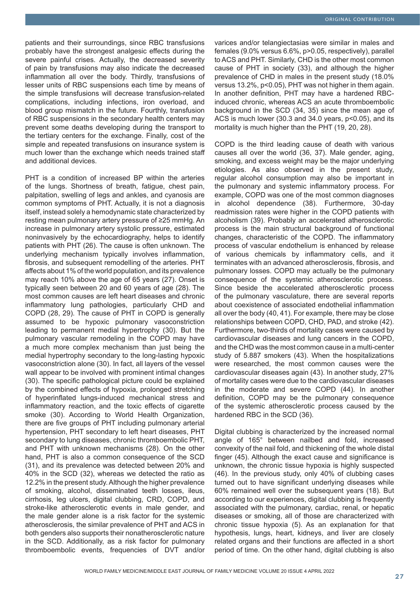patients and their surroundings, since RBC transfusions probably have the strongest analgesic effects during the severe painful crises. Actually, the decreased severity of pain by transfusions may also indicate the decreased inflammation all over the body. Thirdly, transfusions of lesser units of RBC suspensions each time by means of the simple transfusions will decrease transfusion-related complications, including infections, iron overload, and blood group mismatch in the future. Fourthly, transfusion of RBC suspensions in the secondary health centers may prevent some deaths developing during the transport to the tertiary centers for the exchange. Finally, cost of the simple and repeated transfusions on insurance system is much lower than the exchange which needs trained staff and additional devices.

PHT is a condition of increased BP within the arteries of the lungs. Shortness of breath, fatigue, chest pain, palpitation, swelling of legs and ankles, and cyanosis are common symptoms of PHT. Actually, it is not a diagnosis itself, instead solely a hemodynamic state characterized by resting mean pulmonary artery pressure of ≥25 mmHg. An increase in pulmonary artery systolic pressure, estimated noninvasively by the echocardiography, helps to identify patients with PHT (26). The cause is often unknown. The underlying mechanism typically involves inflammation, fibrosis, and subsequent remodelling of the arteries. PHT affects about 1% of the world population, and its prevalence may reach 10% above the age of 65 years (27). Onset is typically seen between 20 and 60 years of age (28). The most common causes are left heart diseases and chronic inflammatory lung pathologies, particularly CHD and COPD (28, 29). The cause of PHT in COPD is generally assumed to be hypoxic pulmonary vasoconstriction leading to permanent medial hypertrophy (30). But the pulmonary vascular remodeling in the COPD may have a much more complex mechanism than just being the medial hypertrophy secondary to the long-lasting hypoxic vasoconstriction alone (30). In fact, all layers of the vessel wall appear to be involved with prominent intimal changes (30). The specific pathological picture could be explained by the combined effects of hypoxia, prolonged stretching of hyperinflated lungs-induced mechanical stress and inflammatory reaction, and the toxic effects of cigarette smoke (30). According to World Health Organization, there are five groups of PHT including pulmonary arterial hypertension, PHT secondary to left heart diseases, PHT secondary to lung diseases, chronic thromboembolic PHT, and PHT with unknown mechanisms (28). On the other hand, PHT is also a common consequence of the SCD (31), and its prevalence was detected between 20% and 40% in the SCD (32), whereas we detected the ratio as 12.2% in the present study. Although the higher prevalence of smoking, alcohol, disseminated teeth losses, ileus, cirrhosis, leg ulcers, digital clubbing, CRD, COPD, and stroke-like atherosclerotic events in male gender, and the male gender alone is a risk factor for the systemic atherosclerosis, the similar prevalence of PHT and ACS in both genders also supports their nonatherosclerotic nature in the SCD. Additionally, as a risk factor for pulmonary thromboembolic events, frequencies of DVT and/or

varices and/or telangiectasias were similar in males and females (9.0% versus 6.6%, p>0.05, respectively), parallel to ACS and PHT. Similarly, CHD is the other most common cause of PHT in society (33), and although the higher prevalence of CHD in males in the present study (18.0% versus 13.2%, p<0.05), PHT was not higher in them again. In another definition, PHT may have a hardened RBCinduced chronic, whereas ACS an acute thromboembolic background in the SCD (34, 35) since the mean age of ACS is much lower (30.3 and 34.0 years, p<0.05), and its mortality is much higher than the PHT (19, 20, 28).

COPD is the third leading cause of death with various causes all over the world (36, 37). Male gender, aging, smoking, and excess weight may be the major underlying etiologies. As also observed in the present study, regular alcohol consumption may also be important in the pulmonary and systemic inflammatory process. For example, COPD was one of the most common diagnoses in alcohol dependence (38). Furthermore, 30-day readmission rates were higher in the COPD patients with alcoholism (39). Probably an accelerated atherosclerotic process is the main structural background of functional changes, characteristic of the COPD. The inflammatory process of vascular endothelium is enhanced by release of various chemicals by inflammatory cells, and it terminates with an advanced atherosclerosis, fibrosis, and pulmonary losses. COPD may actually be the pulmonary consequence of the systemic atherosclerotic process. Since beside the accelerated atherosclerotic process of the pulmonary vasculature, there are several reports about coexistence of associated endothelial inflammation all over the body (40, 41). For example, there may be close relationships between COPD, CHD, PAD, and stroke (42). Furthermore, two-thirds of mortality cases were caused by cardiovascular diseases and lung cancers in the COPD, and the CHD was the most common cause in a multi-center study of 5.887 smokers (43). When the hospitalizations were researched, the most common causes were the cardiovascular diseases again (43). In another study, 27% of mortality cases were due to the cardiovascular diseases in the moderate and severe COPD (44). In another definition, COPD may be the pulmonary consequence of the systemic atherosclerotic process caused by the hardened RBC in the SCD (36).

Digital clubbing is characterized by the increased normal angle of 165° between nailbed and fold, increased convexity of the nail fold, and thickening of the whole distal finger (45). Although the exact cause and significance is unknown, the chronic tissue hypoxia is highly suspected (46). In the previous study, only 40% of clubbing cases turned out to have significant underlying diseases while 60% remained well over the subsequent years (18). But according to our experiences, digital clubbing is frequently associated with the pulmonary, cardiac, renal, or hepatic diseases or smoking, all of those are characterized with chronic tissue hypoxia (5). As an explanation for that hypothesis, lungs, heart, kidneys, and liver are closely related organs and their functions are affected in a short period of time. On the other hand, digital clubbing is also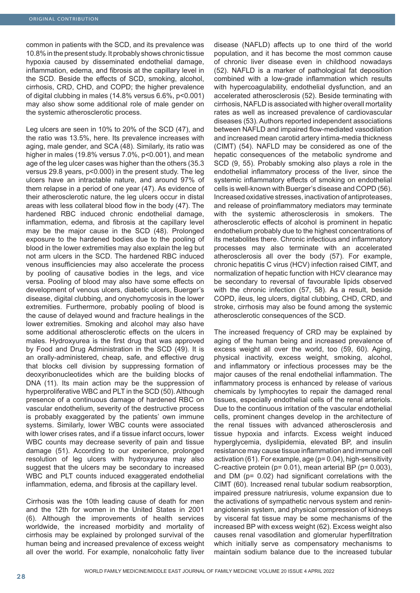common in patients with the SCD, and its prevalence was 10.8% in the present study. It probably shows chronic tissue hypoxia caused by disseminated endothelial damage, inflammation, edema, and fibrosis at the capillary level in the SCD. Beside the effects of SCD, smoking, alcohol, cirrhosis, CRD, CHD, and COPD; the higher prevalence of digital clubbing in males (14.8% versus 6.6%, p<0.001) may also show some additional role of male gender on the systemic atherosclerotic process.

Leg ulcers are seen in 10% to 20% of the SCD (47), and the ratio was 13.5%, here. Its prevalence increases with aging, male gender, and SCA (48). Similarly, its ratio was higher in males (19.8% versus 7.0%, p<0.001), and mean age of the leg ulcer cases was higher than the others (35.3 versus 29.8 years, p<0.000) in the present study. The leg ulcers have an intractable nature, and around 97% of them relapse in a period of one year (47). As evidence of their atherosclerotic nature, the leg ulcers occur in distal areas with less collateral blood flow in the body (47). The hardened RBC induced chronic endothelial damage, inflammation, edema, and fibrosis at the capillary level may be the major cause in the SCD (48). Prolonged exposure to the hardened bodies due to the pooling of blood in the lower extremities may also explain the leg but not arm ulcers in the SCD. The hardened RBC induced venous insufficiencies may also accelerate the process by pooling of causative bodies in the legs, and vice versa. Pooling of blood may also have some effects on development of venous ulcers, diabetic ulcers, Buerger's disease, digital clubbing, and onychomycosis in the lower extremities. Furthermore, probably pooling of blood is the cause of delayed wound and fracture healings in the lower extremities. Smoking and alcohol may also have some additional atherosclerotic effects on the ulcers in males. Hydroxyurea is the first drug that was approved by Food and Drug Administration in the SCD (49). It is an orally-administered, cheap, safe, and effective drug that blocks cell division by suppressing formation of deoxyribonucleotides which are the building blocks of DNA (11). Its main action may be the suppression of hyperproliferative WBC and PLT in the SCD (50). Although presence of a continuous damage of hardened RBC on vascular endothelium, severity of the destructive process is probably exaggerated by the patients' own immune systems. Similarly, lower WBC counts were associated with lower crises rates, and if a tissue infarct occurs, lower WBC counts may decrease severity of pain and tissue damage (51). According to our experience, prolonged resolution of leg ulcers with hydroxyurea may also suggest that the ulcers may be secondary to increased WBC and PLT counts induced exaggerated endothelial inflammation, edema, and fibrosis at the capillary level.

Cirrhosis was the 10th leading cause of death for men and the 12th for women in the United States in 2001 (6). Although the improvements of health services worldwide, the increased morbidity and mortality of cirrhosis may be explained by prolonged survival of the human being and increased prevalence of excess weight all over the world. For example, nonalcoholic fatty liver

disease (NAFLD) affects up to one third of the world population, and it has become the most common cause of chronic liver disease even in childhood nowadays (52). NAFLD is a marker of pathological fat deposition combined with a low-grade inflammation which results with hypercoagulability, endothelial dysfunction, and an accelerated atherosclerosis (52). Beside terminating with cirrhosis, NAFLD is associated with higher overall mortality rates as well as increased prevalence of cardiovascular diseases (53). Authors reported independent associations between NAFLD and impaired flow-mediated vasodilation and increased mean carotid artery intima-media thickness (CIMT) (54). NAFLD may be considered as one of the hepatic consequences of the metabolic syndrome and SCD (9, 55). Probably smoking also plays a role in the endothelial inflammatory process of the liver, since the systemic inflammatory effects of smoking on endothelial cells is well-known with Buerger's disease and COPD (56). Increased oxidative stresses, inactivation of antiproteases, and release of proinflammatory mediators may terminate with the systemic atherosclerosis in smokers. The atherosclerotic effects of alcohol is prominent in hepatic endothelium probably due to the highest concentrations of its metabolites there. Chronic infectious and inflammatory processes may also terminate with an accelerated atherosclerosis all over the body (57). For example, chronic hepatitis C virus (HCV) infection raised CIMT, and normalization of hepatic function with HCV clearance may be secondary to reversal of favourable lipids observed with the chronic infection (57, 58). As a result, beside COPD, ileus, leg ulcers, digital clubbing, CHD, CRD, and stroke, cirrhosis may also be found among the systemic atherosclerotic consequences of the SCD.

The increased frequency of CRD may be explained by aging of the human being and increased prevalence of excess weight all over the world, too (59, 60). Aging, physical inactivity, excess weight, smoking, alcohol, and inflammatory or infectious processes may be the major causes of the renal endothelial inflammation. The inflammatory process is enhanced by release of various chemicals by lymphocytes to repair the damaged renal tissues, especially endothelial cells of the renal arteriols. Due to the continuous irritation of the vascular endothelial cells, prominent changes develop in the architecture of the renal tissues with advanced atherosclerosis and tissue hypoxia and infarcts. Excess weight induced hyperglycemia, dyslipidemia, elevated BP, and insulin resistance may cause tissue inflammation and immune cell activation (61). For example, age (p= 0.04), high-sensitivity C-reactive protein ( $p= 0.01$ ), mean arterial BP ( $p= 0.003$ ), and DM (p= 0.02) had significant correlations with the CIMT (60). Increased renal tubular sodium reabsorption, impaired pressure natriuresis, volume expansion due to the activations of sympathetic nervous system and reninangiotensin system, and physical compression of kidneys by visceral fat tissue may be some mechanisms of the increased BP with excess weight (62). Excess weight also causes renal vasodilation and glomerular hyperfiltration which initially serve as compensatory mechanisms to maintain sodium balance due to the increased tubular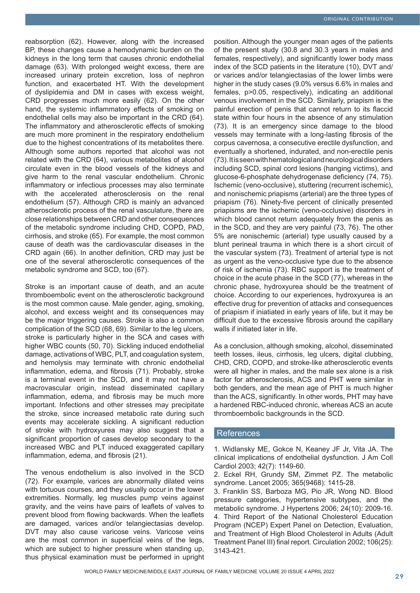reabsorption (62). However, along with the increased BP, these changes cause a hemodynamic burden on the kidneys in the long term that causes chronic endothelial damage (63). With prolonged weight excess, there are increased urinary protein excretion, loss of nephron function, and exacerbated HT. With the development of dyslipidemia and DM in cases with excess weight, CRD progresses much more easily (62). On the other hand, the systemic inflammatory effects of smoking on endothelial cells may also be important in the CRD (64). The inflammatory and atherosclerotic effects of smoking are much more prominent in the respiratory endothelium due to the highest concentrations of its metabolites there. Although some authors reported that alcohol was not related with the CRD (64), various metabolites of alcohol circulate even in the blood vessels of the kidneys and give harm to the renal vascular endothelium. Chronic inflammatory or infectious processes may also terminate with the accelerated atherosclerosis on the renal endothelium (57). Although CRD is mainly an advanced atherosclerotic process of the renal vasculature, there are close relationships between CRD and other consequences of the metabolic syndrome including CHD, COPD, PAD, cirrhosis, and stroke (65). For example, the most common cause of death was the cardiovascular diseases in the CRD again (66). In another definition, CRD may just be one of the several atherosclerotic consequences of the metabolic syndrome and SCD, too (67).

Stroke is an important cause of death, and an acute thromboembolic event on the atherosclerotic background is the most common cause. Male gender, aging, smoking, alcohol, and excess weight and its consequences may be the major triggering causes. Stroke is also a common complication of the SCD (68, 69). Similar to the leg ulcers, stroke is particularly higher in the SCA and cases with higher WBC counts (50, 70). Sickling induced endothelial damage, activations of WBC, PLT, and coagulation system, and hemolysis may terminate with chronic endothelial inflammation, edema, and fibrosis (71). Probably, stroke is a terminal event in the SCD, and it may not have a macrovascular origin, instead disseminated capillary inflammation, edema, and fibrosis may be much more important. Infections and other stresses may precipitate the stroke, since increased metabolic rate during such events may accelerate sickling. A significant reduction of stroke with hydroxyurea may also suggest that a significant proportion of cases develop secondary to the increased WBC and PLT induced exaggerated capillary inflammation, edema, and fibrosis (21).

The venous endothelium is also involved in the SCD (72). For example, varices are abnormally dilated veins with tortuous courses, and they usually occur in the lower extremities. Normally, leg muscles pump veins against gravity, and the veins have pairs of leaflets of valves to prevent blood from flowing backwards. When the leaflets are damaged, varices and/or telangiectasias develop. DVT may also cause varicose veins. Varicose veins are the most common in superficial veins of the legs, which are subject to higher pressure when standing up, thus physical examination must be performed in upright

position. Although the younger mean ages of the patients of the present study (30.8 and 30.3 years in males and females, respectively), and significantly lower body mass index of the SCD patients in the literature (10), DVT and/ or varices and/or telangiectasias of the lower limbs were higher in the study cases (9.0% versus 6.6% in males and females, p>0.05, respectively), indicating an additional venous involvement in the SCD. Similarly, priapism is the painful erection of penis that cannot return to its flaccid state within four hours in the absence of any stimulation (73). It is an emergency since damage to the blood vessels may terminate with a long-lasting fibrosis of the corpus cavernosa, a consecutive erectile dysfunction, and eventually a shortened, indurated, and non-erectile penis (73). It is seen with hematological and neurological disorders including SCD, spinal cord lesions (hanging victims), and glucose-6-phosphate dehydrogenase deficiency (74, 75). Ischemic (veno-occlusive), stuttering (recurrent ischemic), and nonischemic priapisms (arterial) are the three types of priapism (76). Ninety-five percent of clinically presented priapisms are the ischemic (veno-occlusive) disorders in which blood cannot return adequately from the penis as in the SCD, and they are very painful (73, 76). The other 5% are nonischemic (arterial) type usually caused by a blunt perineal trauma in which there is a short circuit of the vascular system (73). Treatment of arterial type is not as urgent as the veno-occlusive type due to the absence of risk of ischemia (73). RBC support is the treatment of choice in the acute phase in the SCD (77), whereas in the chronic phase, hydroxyurea should be the treatment of choice. According to our experiences, hydroxyurea is an effective drug for prevention of attacks and consequences of priapism if iniatiated in early years of life, but it may be difficult due to the excessive fibrosis around the capillary walls if initiated later in life.

As a conclusion, although smoking, alcohol, disseminated teeth losses, ileus, cirrhosis, leg ulcers, digital clubbing, CHD, CRD, COPD, and stroke-like atherosclerotic events were all higher in males, and the male sex alone is a risk factor for atherosclerosis, ACS and PHT were similar in both genders, and the mean age of PHT is much higher than the ACS, significantly. In other words, PHT may have a hardened RBC-induced chronic, whereas ACS an acute thromboembolic backgrounds in the SCD.

#### **References**

1. Widlansky ME, Gokce N, Keaney JF Jr, Vita JA. The clinical implications of endothelial dysfunction. J Am Coll Cardiol 2003; 42(7): 1149-60.

3. Franklin SS, Barboza MG, Pio JR, Wong ND. Blood pressure categories, hypertensive subtypes, and the metabolic syndrome. J Hypertens 2006; 24(10): 2009-16. 4. Third Report of the National Cholesterol Education Program (NCEP) Expert Panel on Detection, Evaluation, and Treatment of High Blood Cholesterol in Adults (Adult Treatment Panel III) final report. Circulation 2002; 106(25): 3143-421.

<sup>2.</sup> Eckel RH, Grundy SM, Zimmet PZ. The metabolic syndrome. Lancet 2005; 365(9468): 1415-28.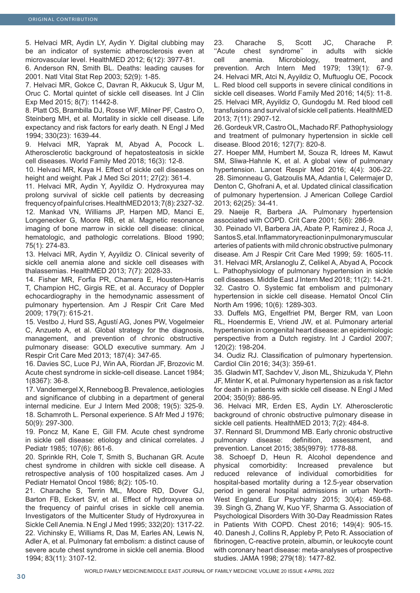5. Helvaci MR, Aydin LY, Aydin Y. Digital clubbing may be an indicator of systemic atherosclerosis even at microvascular level. HealthMED 2012; 6(12): 3977-81.

6. Anderson RN, Smith BL. Deaths: leading causes for 2001. Natl Vital Stat Rep 2003; 52(9): 1-85.

7. Helvaci MR, Gokce C, Davran R, Akkucuk S, Ugur M, Oruc C. Mortal quintet of sickle cell diseases. Int J Clin Exp Med 2015; 8(7): 11442-8.

8. Platt OS, Brambilla DJ, Rosse WF, Milner PF, Castro O, Steinberg MH, et al. Mortality in sickle cell disease. Life expectancy and risk factors for early death. N Engl J Med 1994; 330(23): 1639-44.

9. Helvaci MR, Yaprak M, Abyad A, Pocock L. Atherosclerotic background of hepatosteatosis in sickle cell diseases. World Family Med 2018; 16(3): 12-8.

10. Helvaci MR, Kaya H. Effect of sickle cell diseases on height and weight. Pak J Med Sci 2011; 27(2): 361-4.

11. Helvaci MR, Aydin Y, Ayyildiz O. Hydroxyurea may prolong survival of sickle cell patients by decreasing frequency of painful crises. HealthMED 2013; 7(8): 2327-32. 12. Mankad VN, Williams JP, Harpen MD, Manci E, Longenecker G, Moore RB, et al. Magnetic resonance imaging of bone marrow in sickle cell disease: clinical,

hematologic, and pathologic correlations. Blood 1990; 75(1): 274-83. 13. Helvaci MR, Aydin Y, Ayyildiz O. Clinical severity of

sickle cell anemia alone and sickle cell diseases with thalassemias. HealthMED 2013; 7(7): 2028-33.

14. Fisher MR, Forfia PR, Chamera E, Housten-Harris T, Champion HC, Girgis RE, et al. Accuracy of Doppler echocardiography in the hemodynamic assessment of pulmonary hypertension. Am J Respir Crit Care Med 2009; 179(7): 615-21.

15. Vestbo J, Hurd SS, Agustí AG, Jones PW, Vogelmeier C, Anzueto A, et al. Global strategy for the diagnosis, management, and prevention of chronic obstructive pulmonary disease: GOLD executive summary. Am J Respir Crit Care Med 2013; 187(4): 347-65.

16. Davies SC, Luce PJ, Win AA, Riordan JF, Brozovic M. Acute chest syndrome in sickle-cell disease. Lancet 1984; 1(8367): 36-8.

17. Vandemergel X, Renneboog B. Prevalence, aetiologies and significance of clubbing in a department of general internal medicine. Eur J Intern Med 2008; 19(5): 325-9. 18. Schamroth L. Personal experience. S Afr Med J 1976; 50(9): 297-300.

19. Poncz M, Kane E, Gill FM. Acute chest syndrome in sickle cell disease: etiology and clinical correlates. J Pediatr 1985; 107(6): 861-6.

20. Sprinkle RH, Cole T, Smith S, Buchanan GR. Acute chest syndrome in children with sickle cell disease. A retrospective analysis of 100 hospitalized cases. Am J Pediatr Hematol Oncol 1986; 8(2): 105-10.

21. Charache S, Terrin ML, Moore RD, Dover GJ, Barton FB, Eckert SV, et al. Effect of hydroxyurea on the frequency of painful crises in sickle cell anemia. Investigators of the Multicenter Study of Hydroxyurea in Sickle Cell Anemia. N Engl J Med 1995; 332(20): 1317-22. 22. Vichinsky E, Williams R, Das M, Earles AN, Lewis N, Adler A, et al. Pulmonary fat embolism: a distinct cause of severe acute chest syndrome in sickle cell anemia. Blood 1994; 83(11): 3107-12.

23. Charache S, Scott JC, Charache P. ''Acute chest syndrome'' in adults with sickle cell anemia. Microbiology, treatment, and prevention. Arch Intern Med 1979; 139(1): 67-9. 24. Helvaci MR, Atci N, Ayyildiz O, Muftuoglu OE, Pocock L. Red blood cell supports in severe clinical conditions in sickle cell diseases. World Family Med 2016; 14(5): 11-8. 25. Helvaci MR, Ayyildiz O, Gundogdu M. Red blood cell transfusions and survival of sickle cell patients. HealthMED 2013; 7(11): 2907-12.

26. Gordeuk VR, Castro OL, Machado RF. Pathophysiology and treatment of pulmonary hypertension in sickle cell disease. Blood 2016; 127(7): 820-8.

27. Hoeper MM, Humbert M, Souza R, Idrees M, Kawut SM, Sliwa-Hahnle K, et al. A global view of pulmonary hypertension. Lancet Respir Med 2016; 4(4): 306-22. 28. Simonneau G, Gatzoulis MA, Adantia I, Celermajer D, Denton C, Ghofrani A, et al. Updated clinical classification of pulmonary hypertension. J American College Cardiol 2013; 62(25): 34-41.

29. Naeije R, Barbera JA. Pulmonary hypertension associated with COPD. Crit Care 2001; 5(6): 286-9.

30. Peinado VI, Barbera JA, Abate P, Ramirez J, Roca J, Santos S, et al. Inflammatory reaction in pulmonary muscular arteries of patients with mild chronic obstructive pulmonary disease. Am J Respir Crit Care Med 1999; 59: 1605-11. 31. Helvaci MR, Arslanoglu Z, Celikel A, Abyad A, Pocock L. Pathophysiology of pulmonary hypertension in sickle cell diseases. Middle East J Intern Med 2018; 11(2): 14-21. 32. Castro O. Systemic fat embolism and pulmonary hypertension in sickle cell disease. Hematol Oncol Clin North Am 1996; 10(6): 1289-303.

33. Duffels MG, Engelfriet PM, Berger RM, van Loon RL, Hoendermis E, Vriend JW, et al. Pulmonary arterial hypertension in congenital heart disease: an epidemiologic perspective from a Dutch registry. Int J Cardiol 2007; 120(2): 198-204.

34. Oudiz RJ. Classification of pulmonary hypertension. Cardiol Clin 2016; 34(3): 359-61.

35. Gladwin MT, Sachdev V, Jison ML, Shizukuda Y, Plehn JF, Minter K, et al. Pulmonary hypertension as a risk factor for death in patients with sickle cell disease. N Engl J Med 2004; 350(9): 886-95.

36. Helvaci MR, Erden ES, Aydin LY. Atherosclerotic background of chronic obstructive pulmonary disease in sickle cell patients. HealthMED 2013; 7(2): 484-8.

37. Rennard SI, Drummond MB. Early chronic obstructive pulmonary disease: definition, assessment, and prevention. Lancet 2015; 385(9979): 1778-88.

38. Schoepf D, Heun R. Alcohol dependence and physical comorbidity: Increased prevalence but reduced relevance of individual comorbidities for hospital-based mortality during a 12.5-year observation period in general hospital admissions in urban North-West England. Eur Psychiatry 2015; 30(4): 459-68. 39. Singh G, Zhang W, Kuo YF, Sharma G. Association of Psychological Disorders With 30-Day Readmission Rates in Patients With COPD. Chest 2016; 149(4): 905-15. 40. Danesh J, Collins R, Appleby P, Peto R. Association of fibrinogen, C-reactive protein, albumin, or leukocyte count with coronary heart disease: meta-analyses of prospective studies. JAMA 1998; 279(18): 1477-82.